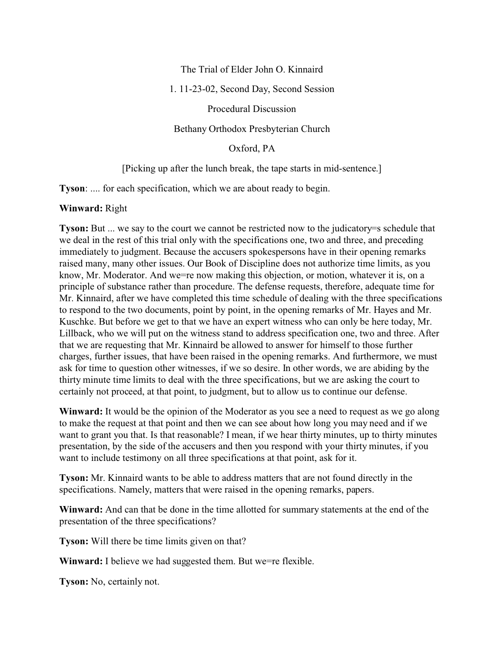## The Trial of Elder John O. Kinnaird

1. 11-23-02, Second Day, Second Session

Procedural Discussion

Bethany Orthodox Presbyterian Church

Oxford, PA

### [Picking up after the lunch break, the tape starts in mid-sentence.]

**Tyson**: .... for each specification, which we are about ready to begin.

### **Winward:** Right

**Tyson:** But ... we say to the court we cannot be restricted now to the judicatory=s schedule that we deal in the rest of this trial only with the specifications one, two and three, and preceding immediately to judgment. Because the accusers spokespersons have in their opening remarks raised many, many other issues. Our Book of Discipline does not authorize time limits, as you know, Mr. Moderator. And we=re now making this objection, or motion, whatever it is, on a principle of substance rather than procedure. The defense requests, therefore, adequate time for Mr. Kinnaird, after we have completed this time schedule of dealing with the three specifications to respond to the two documents, point by point, in the opening remarks of Mr. Hayes and Mr. Kuschke. But before we get to that we have an expert witness who can only be here today, Mr. Lillback, who we will put on the witness stand to address specification one, two and three. After that we are requesting that Mr. Kinnaird be allowed to answer for himself to those further charges, further issues, that have been raised in the opening remarks. And furthermore, we must ask for time to question other witnesses, if we so desire. In other words, we are abiding by the thirty minute time limits to deal with the three specifications, but we are asking the court to certainly not proceed, at that point, to judgment, but to allow us to continue our defense.

**Winward:** It would be the opinion of the Moderator as you see a need to request as we go along to make the request at that point and then we can see about how long you may need and if we want to grant you that. Is that reasonable? I mean, if we hear thirty minutes, up to thirty minutes presentation, by the side of the accusers and then you respond with your thirty minutes, if you want to include testimony on all three specifications at that point, ask for it.

**Tyson:** Mr. Kinnaird wants to be able to address matters that are not found directly in the specifications. Namely, matters that were raised in the opening remarks, papers.

**Winward:** And can that be done in the time allotted for summary statements at the end of the presentation of the three specifications?

**Tyson:** Will there be time limits given on that?

**Winward:** I believe we had suggested them. But we=re flexible.

**Tyson:** No, certainly not.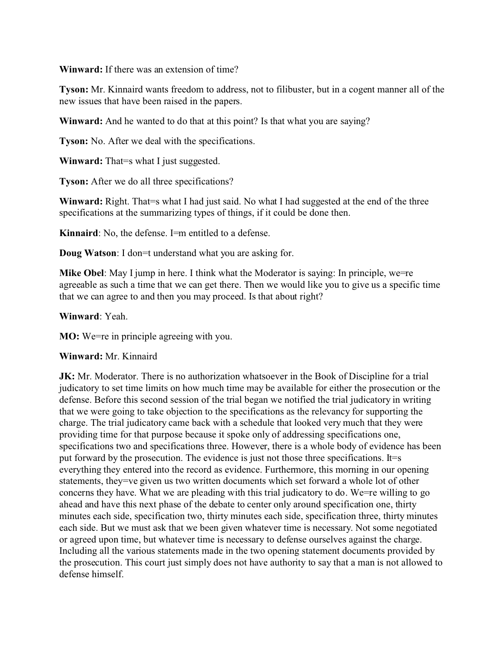**Winward:** If there was an extension of time?

**Tyson:** Mr. Kinnaird wants freedom to address, not to filibuster, but in a cogent manner all of the new issues that have been raised in the papers.

**Winward:** And he wanted to do that at this point? Is that what you are saying?

**Tyson:** No. After we deal with the specifications.

**Winward:** That=s what I just suggested.

**Tyson:** After we do all three specifications?

Winward: Right. That=s what I had just said. No what I had suggested at the end of the three specifications at the summarizing types of things, if it could be done then.

**Kinnaird**: No, the defense. I=m entitled to a defense.

**Doug Watson:** I don=t understand what you are asking for.

**Mike Obel**: May I jump in here. I think what the Moderator is saying: In principle, we agreeable as such a time that we can get there. Then we would like you to give us a specific time that we can agree to and then you may proceed. Is that about right?

**Winward**: Yeah.

**MO:** We=re in principle agreeing with you.

#### **Winward:** Mr. Kinnaird

**JK:** Mr. Moderator. There is no authorization whatsoever in the Book of Discipline for a trial judicatory to set time limits on how much time may be available for either the prosecution or the defense. Before this second session of the trial began we notified the trial judicatory in writing that we were going to take objection to the specifications as the relevancy for supporting the charge. The trial judicatory came back with a schedule that looked very much that they were providing time for that purpose because it spoke only of addressing specifications one, specifications two and specifications three. However, there is a whole body of evidence has been put forward by the prosecution. The evidence is just not those three specifications. It=s everything they entered into the record as evidence. Furthermore, this morning in our opening statements, they=ve given us two written documents which set forward a whole lot of other concerns they have. What we are pleading with this trial judicatory to do. We=re willing to go ahead and have this next phase of the debate to center only around specification one, thirty minutes each side, specification two, thirty minutes each side, specification three, thirty minutes each side. But we must ask that we been given whatever time is necessary. Not some negotiated or agreed upon time, but whatever time is necessary to defense ourselves against the charge. Including all the various statements made in the two opening statement documents provided by the prosecution. This court just simply does not have authority to say that a man is not allowed to defense himself.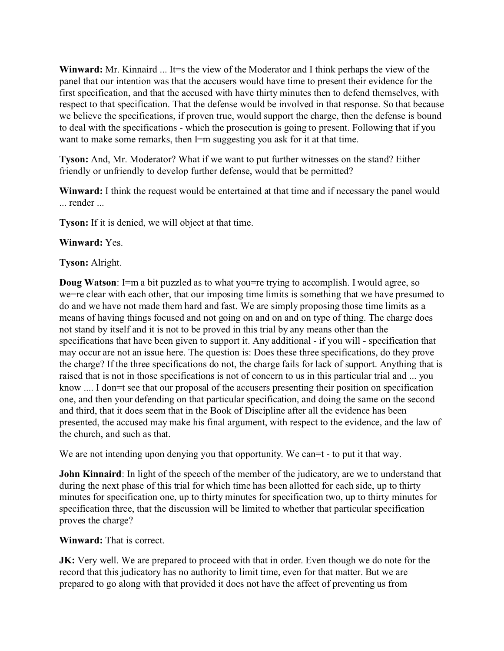**Winward:** Mr. Kinnaird ... It=s the view of the Moderator and I think perhaps the view of the panel that our intention was that the accusers would have time to present their evidence for the first specification, and that the accused with have thirty minutes then to defend themselves, with respect to that specification. That the defense would be involved in that response. So that because we believe the specifications, if proven true, would support the charge, then the defense is bound to deal with the specifications - which the prosecution is going to present. Following that if you want to make some remarks, then I=m suggesting you ask for it at that time.

**Tyson:** And, Mr. Moderator? What if we want to put further witnesses on the stand? Either friendly or unfriendly to develop further defense, would that be permitted?

**Winward:** I think the request would be entertained at that time and if necessary the panel would ... render ...

**Tyson:** If it is denied, we will object at that time.

# **Winward:** Yes.

# **Tyson:** Alright.

**Doug Watson**: I=m a bit puzzled as to what you=re trying to accomplish. I would agree, so we=re clear with each other, that our imposing time limits is something that we have presumed to do and we have not made them hard and fast. We are simply proposing those time limits as a means of having things focused and not going on and on and on type of thing. The charge does not stand by itself and it is not to be proved in this trial by any means other than the specifications that have been given to support it. Any additional - if you will - specification that may occur are not an issue here. The question is: Does these three specifications, do they prove the charge? If the three specifications do not, the charge fails for lack of support. Anything that is raised that is not in those specifications is not of concern to us in this particular trial and ... you know .... I don=t see that our proposal of the accusers presenting their position on specification one, and then your defending on that particular specification, and doing the same on the second and third, that it does seem that in the Book of Discipline after all the evidence has been presented, the accused may make his final argument, with respect to the evidence, and the law of the church, and such as that.

We are not intending upon denying you that opportunity. We can et - to put it that way.

**John Kinnaird**: In light of the speech of the member of the judicatory, are we to understand that during the next phase of this trial for which time has been allotted for each side, up to thirty minutes for specification one, up to thirty minutes for specification two, up to thirty minutes for specification three, that the discussion will be limited to whether that particular specification proves the charge?

## **Winward:** That is correct.

**JK:** Very well. We are prepared to proceed with that in order. Even though we do note for the record that this judicatory has no authority to limit time, even for that matter. But we are prepared to go along with that provided it does not have the affect of preventing us from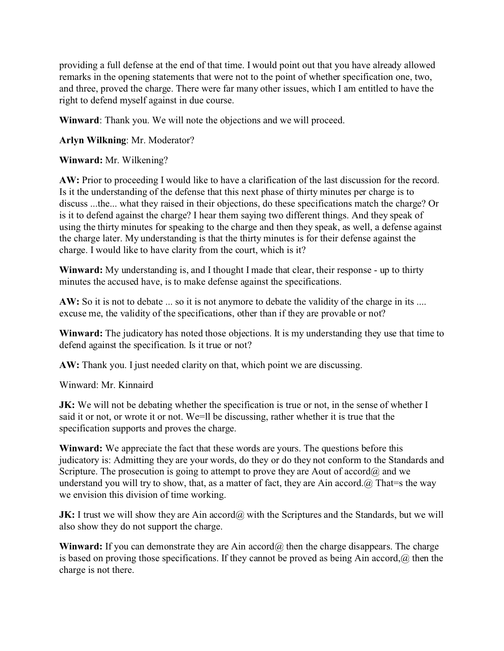providing a full defense at the end of that time. I would point out that you have already allowed remarks in the opening statements that were not to the point of whether specification one, two, and three, proved the charge. There were far many other issues, which I am entitled to have the right to defend myself against in due course.

**Winward**: Thank you. We will note the objections and we will proceed.

**Arlyn Wilkning**: Mr. Moderator?

**Winward:** Mr. Wilkening?

**AW:** Prior to proceeding I would like to have a clarification of the last discussion for the record. Is it the understanding of the defense that this next phase of thirty minutes per charge is to discuss ...the... what they raised in their objections, do these specifications match the charge? Or is it to defend against the charge? I hear them saying two different things. And they speak of using the thirty minutes for speaking to the charge and then they speak, as well, a defense against the charge later. My understanding is that the thirty minutes is for their defense against the charge. I would like to have clarity from the court, which is it?

**Winward:** My understanding is, and I thought I made that clear, their response - up to thirty minutes the accused have, is to make defense against the specifications.

**AW:** So it is not to debate ... so it is not anymore to debate the validity of the charge in its .... excuse me, the validity of the specifications, other than if they are provable or not?

**Winward:** The judicatory has noted those objections. It is my understanding they use that time to defend against the specification. Is it true or not?

**AW:** Thank you. I just needed clarity on that, which point we are discussing.

Winward: Mr. Kinnaird

**JK:** We will not be debating whether the specification is true or not, in the sense of whether I said it or not, or wrote it or not. We=ll be discussing, rather whether it is true that the specification supports and proves the charge.

**Winward:** We appreciate the fact that these words are yours. The questions before this judicatory is: Admitting they are your words, do they or do they not conform to the Standards and Scripture. The prosecution is going to attempt to prove they are Aout of accord $\omega$  and we understand you will try to show, that, as a matter of fact, they are Ain accord. $\omega$  That = s the way we envision this division of time working.

**JK:** I trust we will show they are Ain accord@ with the Scriptures and the Standards, but we will also show they do not support the charge.

**Winward:** If you can demonstrate they are Ain accord@ then the charge disappears. The charge is based on proving those specifications. If they cannot be proved as being Ain accord,@ then the charge is not there.